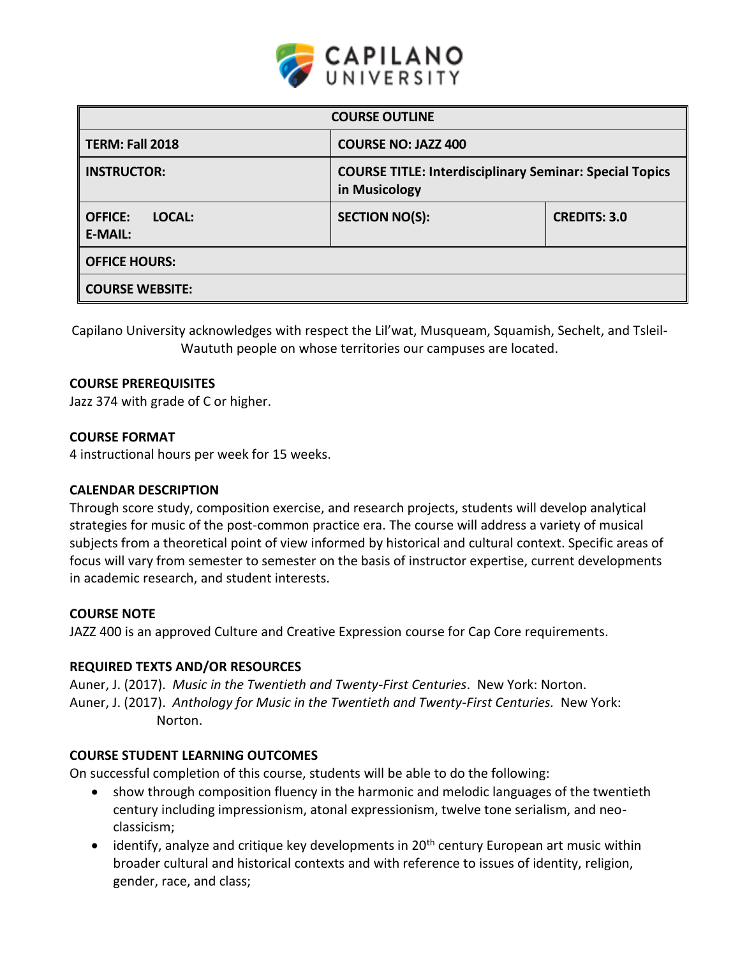

| <b>COURSE OUTLINE</b>                      |                                                                                 |                     |  |  |  |  |
|--------------------------------------------|---------------------------------------------------------------------------------|---------------------|--|--|--|--|
| <b>TERM: Fall 2018</b>                     | <b>COURSE NO: JAZZ 400</b>                                                      |                     |  |  |  |  |
| <b>INSTRUCTOR:</b>                         | <b>COURSE TITLE: Interdisciplinary Seminar: Special Topics</b><br>in Musicology |                     |  |  |  |  |
| LOCAL:<br><b>OFFICE:</b><br><b>E-MAIL:</b> | <b>SECTION NO(S):</b>                                                           | <b>CREDITS: 3.0</b> |  |  |  |  |
| <b>OFFICE HOURS:</b>                       |                                                                                 |                     |  |  |  |  |
| <b>COURSE WEBSITE:</b>                     |                                                                                 |                     |  |  |  |  |

Capilano University acknowledges with respect the Lil'wat, Musqueam, Squamish, Sechelt, and Tsleil-Waututh people on whose territories our campuses are located.

## **COURSE PREREQUISITES**

Jazz 374 with grade of C or higher.

#### **COURSE FORMAT**

4 instructional hours per week for 15 weeks.

#### **CALENDAR DESCRIPTION**

Through score study, composition exercise, and research projects, students will develop analytical strategies for music of the post-common practice era. The course will address a variety of musical subjects from a theoretical point of view informed by historical and cultural context. Specific areas of focus will vary from semester to semester on the basis of instructor expertise, current developments in academic research, and student interests.

#### **COURSE NOTE**

JAZZ 400 is an approved Culture and Creative Expression course for Cap Core requirements.

# **REQUIRED TEXTS AND/OR RESOURCES**

Auner, J. (2017). *Music in the Twentieth and Twenty-First Centuries*. New York: Norton. Auner, J. (2017). *Anthology for Music in the Twentieth and Twenty-First Centuries.* New York: Norton.

#### **COURSE STUDENT LEARNING OUTCOMES**

On successful completion of this course, students will be able to do the following:

- show through composition fluency in the harmonic and melodic languages of the twentieth century including impressionism, atonal expressionism, twelve tone serialism, and neoclassicism;
- $\bullet$  identify, analyze and critique key developments in 20<sup>th</sup> century European art music within broader cultural and historical contexts and with reference to issues of identity, religion, gender, race, and class;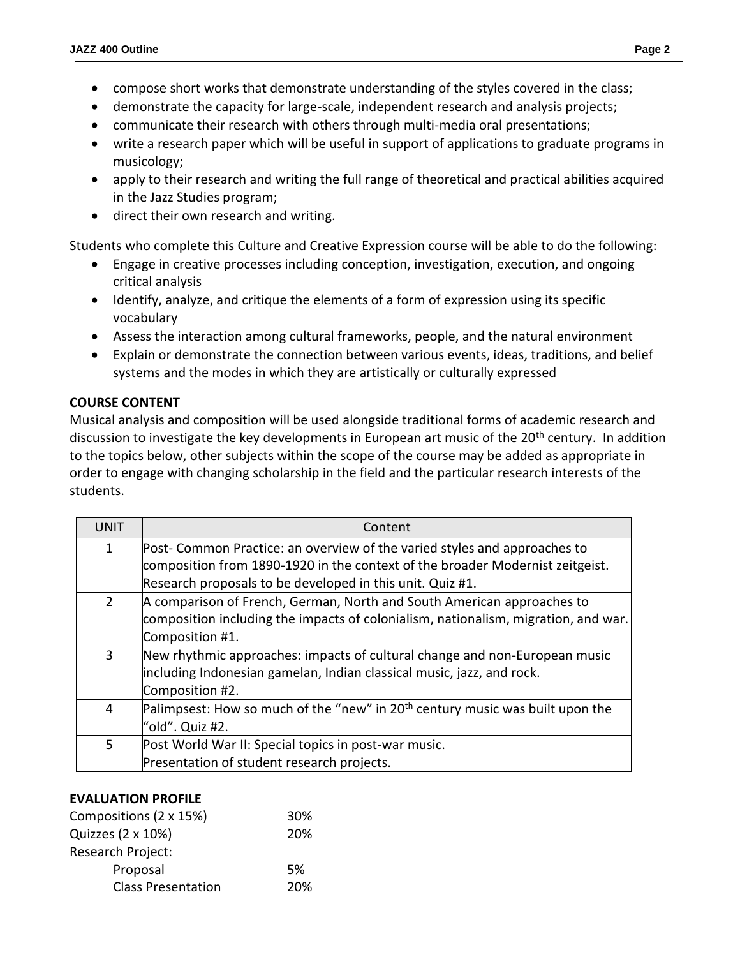- compose short works that demonstrate understanding of the styles covered in the class;
- demonstrate the capacity for large-scale, independent research and analysis projects;
- communicate their research with others through multi-media oral presentations;
- write a research paper which will be useful in support of applications to graduate programs in musicology;
- apply to their research and writing the full range of theoretical and practical abilities acquired in the Jazz Studies program;
- direct their own research and writing.

Students who complete this Culture and Creative Expression course will be able to do the following:

- Engage in creative processes including conception, investigation, execution, and ongoing critical analysis
- Identify, analyze, and critique the elements of a form of expression using its specific vocabulary
- Assess the interaction among cultural frameworks, people, and the natural environment
- Explain or demonstrate the connection between various events, ideas, traditions, and belief systems and the modes in which they are artistically or culturally expressed

# **COURSE CONTENT**

Musical analysis and composition will be used alongside traditional forms of academic research and discussion to investigate the key developments in European art music of the 20<sup>th</sup> century. In addition to the topics below, other subjects within the scope of the course may be added as appropriate in order to engage with changing scholarship in the field and the particular research interests of the students.

| <b>UNIT</b>  | Content                                                                                   |  |  |  |  |
|--------------|-------------------------------------------------------------------------------------------|--|--|--|--|
| $\mathbf{1}$ | Post-Common Practice: an overview of the varied styles and approaches to                  |  |  |  |  |
|              | composition from 1890-1920 in the context of the broader Modernist zeitgeist.             |  |  |  |  |
|              | Research proposals to be developed in this unit. Quiz #1.                                 |  |  |  |  |
| $2^{\circ}$  | A comparison of French, German, North and South American approaches to                    |  |  |  |  |
|              | composition including the impacts of colonialism, nationalism, migration, and war.        |  |  |  |  |
|              | Composition #1.                                                                           |  |  |  |  |
| 3            | New rhythmic approaches: impacts of cultural change and non-European music                |  |  |  |  |
|              | including Indonesian gamelan, Indian classical music, jazz, and rock.                     |  |  |  |  |
|              | Composition #2.                                                                           |  |  |  |  |
| 4            | Palimpsest: How so much of the "new" in 20 <sup>th</sup> century music was built upon the |  |  |  |  |
|              | "old". Quiz #2.                                                                           |  |  |  |  |
| 5            | Post World War II: Special topics in post-war music.                                      |  |  |  |  |
|              | Presentation of student research projects.                                                |  |  |  |  |
|              |                                                                                           |  |  |  |  |

# **EVALUATION PROFILE**

| Compositions (2 x 15%)    | 30% |
|---------------------------|-----|
| Quizzes (2 x 10%)         | 20% |
| <b>Research Project:</b>  |     |
| Proposal                  | .5% |
| <b>Class Presentation</b> | 20% |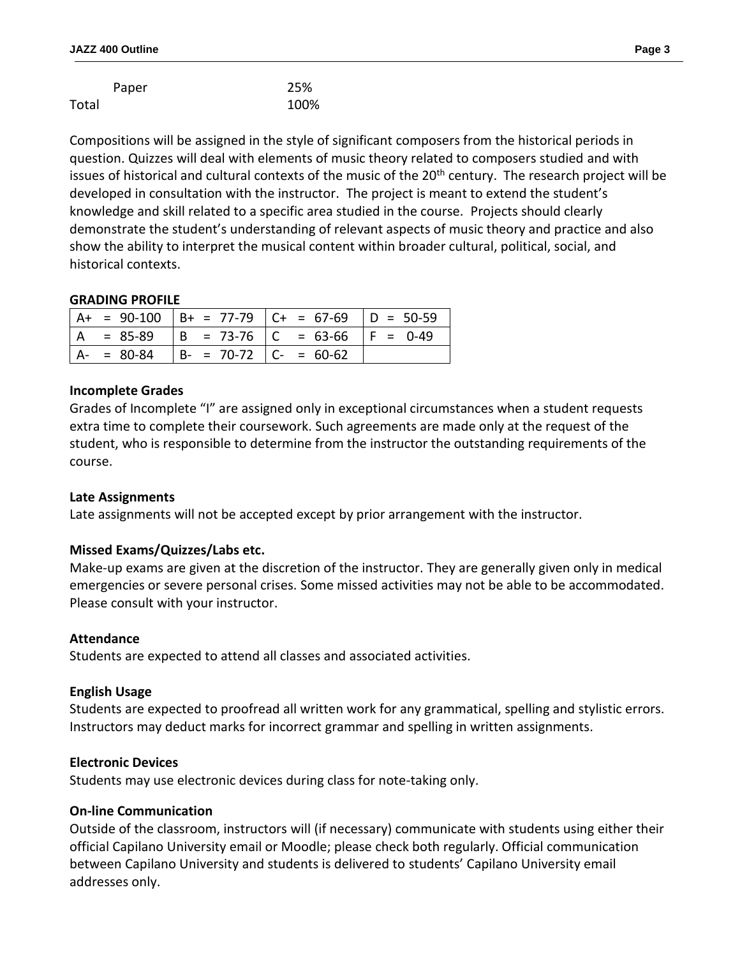|       | Paper | 25%  |
|-------|-------|------|
| Total |       | 100% |

Compositions will be assigned in the style of significant composers from the historical periods in question. Quizzes will deal with elements of music theory related to composers studied and with issues of historical and cultural contexts of the music of the  $20<sup>th</sup>$  century. The research project will be developed in consultation with the instructor. The project is meant to extend the student's knowledge and skill related to a specific area studied in the course. Projects should clearly demonstrate the student's understanding of relevant aspects of music theory and practice and also show the ability to interpret the musical content within broader cultural, political, social, and historical contexts.

## **GRADING PROFILE**

|               |                               | $ $ A+ = 90-100 $ $ B+ = 77-79 $ $ C+ = 67-69 $ $ D = 50-59 |  |
|---------------|-------------------------------|-------------------------------------------------------------|--|
| $. = 85-89$   |                               | $  B = 73-76   C = 63-66   F = 0-49$                        |  |
| $A - = 80-84$ | $  B - = 70-72   C - = 60-62$ |                                                             |  |

## **Incomplete Grades**

Grades of Incomplete "I" are assigned only in exceptional circumstances when a student requests extra time to complete their coursework. Such agreements are made only at the request of the student, who is responsible to determine from the instructor the outstanding requirements of the course.

# **Late Assignments**

Late assignments will not be accepted except by prior arrangement with the instructor.

# **Missed Exams/Quizzes/Labs etc.**

Make-up exams are given at the discretion of the instructor. They are generally given only in medical emergencies or severe personal crises. Some missed activities may not be able to be accommodated. Please consult with your instructor.

#### **Attendance**

Students are expected to attend all classes and associated activities.

#### **English Usage**

Students are expected to proofread all written work for any grammatical, spelling and stylistic errors. Instructors may deduct marks for incorrect grammar and spelling in written assignments.

#### **Electronic Devices**

Students may use electronic devices during class for note-taking only.

# **On-line Communication**

Outside of the classroom, instructors will (if necessary) communicate with students using either their official Capilano University email or Moodle; please check both regularly. Official communication between Capilano University and students is delivered to students' Capilano University email addresses only.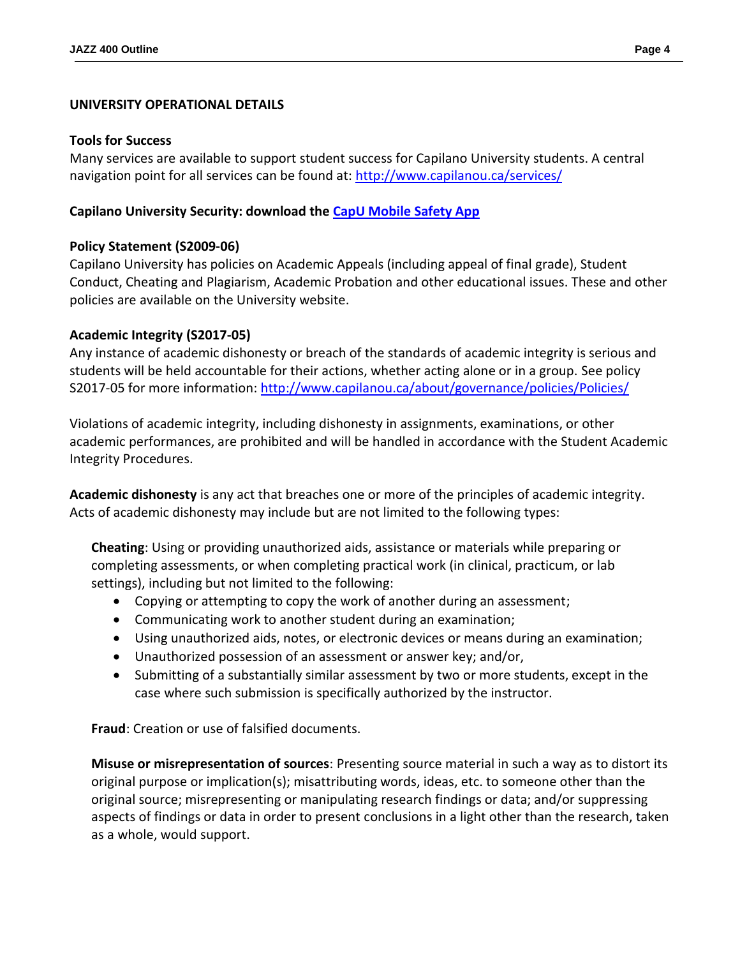## **UNIVERSITY OPERATIONAL DETAILS**

#### **Tools for Success**

Many services are available to support student success for Capilano University students. A central navigation point for all services can be found at:<http://www.capilanou.ca/services/>

## **Capilano University Security: download the [CapU Mobile Safety App](https://www.capilanou.ca/services/safety-security/CapU-Mobile-Safety-App/)**

## **Policy Statement (S2009-06)**

Capilano University has policies on Academic Appeals (including appeal of final grade), Student Conduct, Cheating and Plagiarism, Academic Probation and other educational issues. These and other policies are available on the University website.

## **Academic Integrity (S2017-05)**

Any instance of academic dishonesty or breach of the standards of academic integrity is serious and students will be held accountable for their actions, whether acting alone or in a group. See policy S2017-05 for more information: <http://www.capilanou.ca/about/governance/policies/Policies/>

Violations of academic integrity, including dishonesty in assignments, examinations, or other academic performances, are prohibited and will be handled in accordance with the Student Academic Integrity Procedures.

**Academic dishonesty** is any act that breaches one or more of the principles of academic integrity. Acts of academic dishonesty may include but are not limited to the following types:

**Cheating**: Using or providing unauthorized aids, assistance or materials while preparing or completing assessments, or when completing practical work (in clinical, practicum, or lab settings), including but not limited to the following:

- Copying or attempting to copy the work of another during an assessment;
- Communicating work to another student during an examination;
- Using unauthorized aids, notes, or electronic devices or means during an examination;
- Unauthorized possession of an assessment or answer key; and/or,
- Submitting of a substantially similar assessment by two or more students, except in the case where such submission is specifically authorized by the instructor.

**Fraud**: Creation or use of falsified documents.

**Misuse or misrepresentation of sources**: Presenting source material in such a way as to distort its original purpose or implication(s); misattributing words, ideas, etc. to someone other than the original source; misrepresenting or manipulating research findings or data; and/or suppressing aspects of findings or data in order to present conclusions in a light other than the research, taken as a whole, would support.